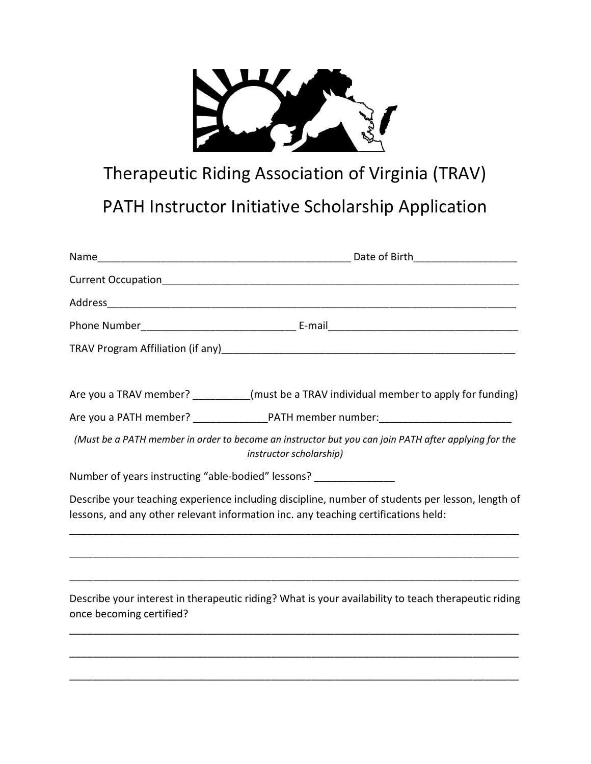

## Therapeutic Riding Association of Virginia (TRAV)

## PATH Instructor Initiative Scholarship Application

|                                                                     | Are you a TRAV member? _________(must be a TRAV individual member to apply for funding)                                                                                                |
|---------------------------------------------------------------------|----------------------------------------------------------------------------------------------------------------------------------------------------------------------------------------|
|                                                                     |                                                                                                                                                                                        |
|                                                                     | (Must be a PATH member in order to become an instructor but you can join PATH after applying for the<br>instructor scholarship)                                                        |
| Number of years instructing "able-bodied" lessons? ________________ |                                                                                                                                                                                        |
|                                                                     | Describe your teaching experience including discipline, number of students per lesson, length of<br>lessons, and any other relevant information inc. any teaching certifications held: |
|                                                                     |                                                                                                                                                                                        |
| once becoming certified?                                            | Describe your interest in therapeutic riding? What is your availability to teach therapeutic riding                                                                                    |
|                                                                     |                                                                                                                                                                                        |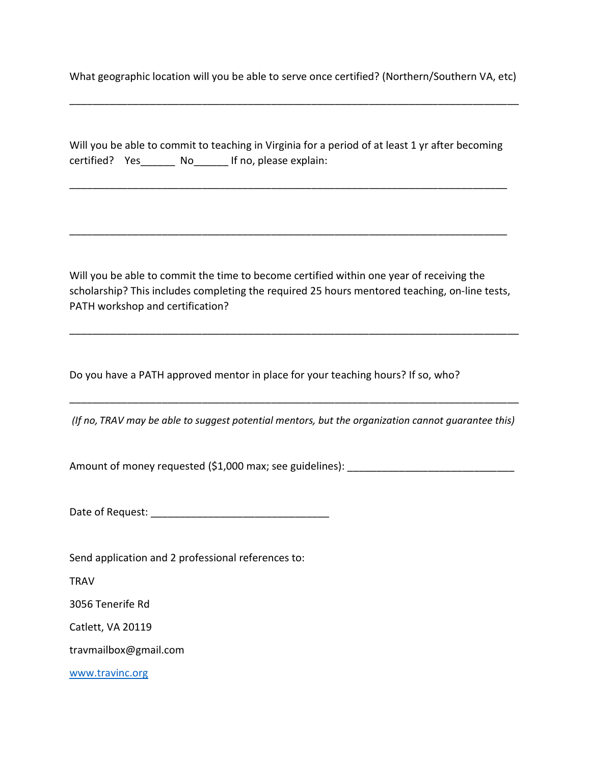What geographic location will you be able to serve once certified? (Northern/Southern VA, etc)

\_\_\_\_\_\_\_\_\_\_\_\_\_\_\_\_\_\_\_\_\_\_\_\_\_\_\_\_\_\_\_\_\_\_\_\_\_\_\_\_\_\_\_\_\_\_\_\_\_\_\_\_\_\_\_\_\_\_\_\_\_\_\_\_\_\_\_\_\_\_\_\_\_\_\_\_\_\_

|                |     |                        | Will you be able to commit to teaching in Virginia for a period of at least 1 yr after becoming |
|----------------|-----|------------------------|-------------------------------------------------------------------------------------------------|
| certified? Yes | No. | If no, please explain: |                                                                                                 |

\_\_\_\_\_\_\_\_\_\_\_\_\_\_\_\_\_\_\_\_\_\_\_\_\_\_\_\_\_\_\_\_\_\_\_\_\_\_\_\_\_\_\_\_\_\_\_\_\_\_\_\_\_\_\_\_\_\_\_\_\_\_\_\_\_\_\_\_\_\_\_\_\_\_\_\_

\_\_\_\_\_\_\_\_\_\_\_\_\_\_\_\_\_\_\_\_\_\_\_\_\_\_\_\_\_\_\_\_\_\_\_\_\_\_\_\_\_\_\_\_\_\_\_\_\_\_\_\_\_\_\_\_\_\_\_\_\_\_\_\_\_\_\_\_\_\_\_\_\_\_\_\_

Will you be able to commit the time to become certified within one year of receiving the scholarship? This includes completing the required 25 hours mentored teaching, on-line tests, PATH workshop and certification?

\_\_\_\_\_\_\_\_\_\_\_\_\_\_\_\_\_\_\_\_\_\_\_\_\_\_\_\_\_\_\_\_\_\_\_\_\_\_\_\_\_\_\_\_\_\_\_\_\_\_\_\_\_\_\_\_\_\_\_\_\_\_\_\_\_\_\_\_\_\_\_\_\_\_\_\_\_\_

Do you have a PATH approved mentor in place for your teaching hours? If so, who?

(If no, TRAV may be able to suggest potential mentors, but the organization cannot guarantee this)

\_\_\_\_\_\_\_\_\_\_\_\_\_\_\_\_\_\_\_\_\_\_\_\_\_\_\_\_\_\_\_\_\_\_\_\_\_\_\_\_\_\_\_\_\_\_\_\_\_\_\_\_\_\_\_\_\_\_\_\_\_\_\_\_\_\_\_\_\_\_\_\_\_\_\_\_\_\_

Amount of money requested (\$1,000 max; see guidelines): \_\_\_\_\_\_\_\_\_\_\_\_\_\_\_\_\_\_\_\_\_\_\_\_\_

Date of Request: \_\_\_\_\_\_\_\_\_\_\_\_\_\_\_\_\_\_\_\_\_\_\_\_\_\_\_\_\_\_\_

Send application and 2 professional references to:

**TRAV** 

3056 Tenerife Rd

Catlett, VA 20119

travmailbox@gmail.com

www.travinc.org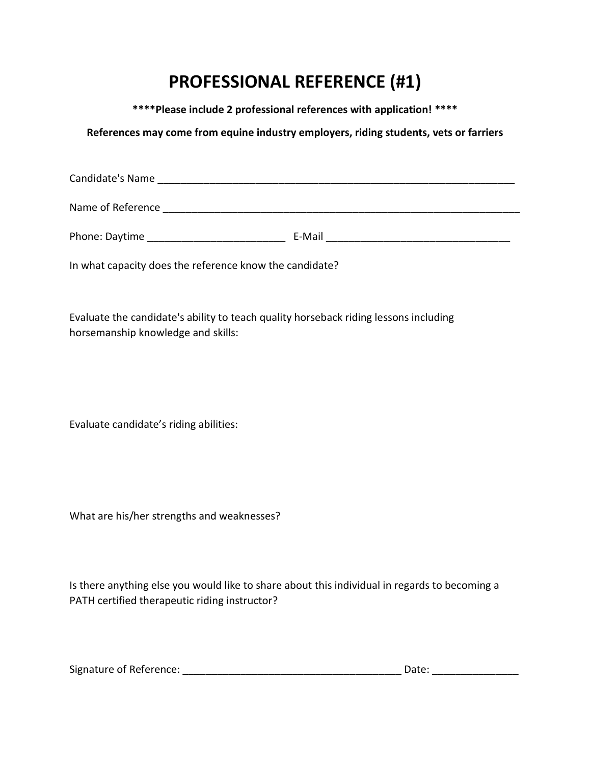## PROFESSIONAL REFERENCE (#1)

\*\*\*\*Please include 2 professional references with application! \*\*\*\*

References may come from equine industry employers, riding students, vets or farriers

| Candidate's Name  |        |  |
|-------------------|--------|--|
| Name of Reference |        |  |
| Phone: Daytime    | E-Mail |  |

In what capacity does the reference know the candidate?

Evaluate the candidate's ability to teach quality horseback riding lessons including horsemanship knowledge and skills:

Evaluate candidate's riding abilities:

What are his/her strengths and weaknesses?

Is there anything else you would like to share about this individual in regards to becoming a PATH certified therapeutic riding instructor?

| Signature of Reference: |  | Date: |
|-------------------------|--|-------|
|-------------------------|--|-------|